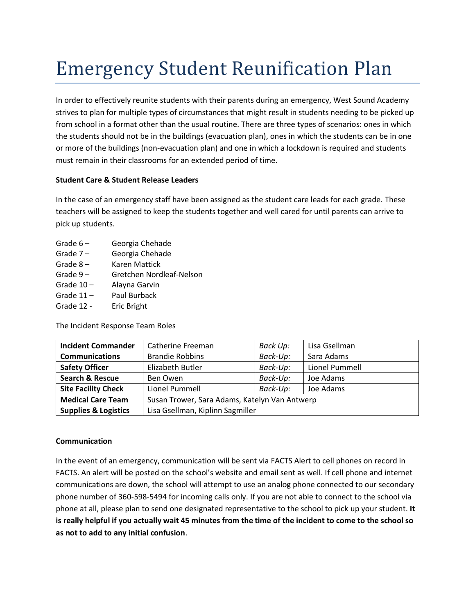# Emergency Student Reunification Plan

In order to effectively reunite students with their parents during an emergency, West Sound Academy strives to plan for multiple types of circumstances that might result in students needing to be picked up from school in a format other than the usual routine. There are three types of scenarios: ones in which the students should not be in the buildings (evacuation plan), ones in which the students can be in one or more of the buildings (non-evacuation plan) and one in which a lockdown is required and students must remain in their classrooms for an extended period of time.

#### **Student Care & Student Release Leaders**

In the case of an emergency staff have been assigned as the student care leads for each grade. These teachers will be assigned to keep the students together and well cared for until parents can arrive to pick up students.

- Grade 6 Georgia Chehade
- Grade 7 Georgia Chehade
- Grade 8 Karen Mattick
- Grade 9 Gretchen Nordleaf-Nelson
- Grade 10 Alayna Garvin
- Grade 11 Paul Burback
- Grade 12 Eric Bright

The Incident Response Team Roles

| <b>Incident Commander</b>       | Catherine Freeman                             | Back Up: | Lisa Gsellman  |
|---------------------------------|-----------------------------------------------|----------|----------------|
| <b>Communications</b>           | <b>Brandie Robbins</b>                        | Back-Up: | Sara Adams     |
| <b>Safety Officer</b>           | Elizabeth Butler                              | Back-Up: | Lionel Pummell |
| <b>Search &amp; Rescue</b>      | Ben Owen                                      | Back-Up: | Joe Adams      |
| <b>Site Facility Check</b>      | Lionel Pummell                                | Back-Up: | Joe Adams      |
| <b>Medical Care Team</b>        | Susan Trower, Sara Adams, Katelyn Van Antwerp |          |                |
| <b>Supplies &amp; Logistics</b> | Lisa Gsellman, Kiplinn Sagmiller              |          |                |

#### **Communication**

In the event of an emergency, communication will be sent via FACTS Alert to cell phones on record in FACTS. An alert will be posted on the school's website and email sent as well. If cell phone and internet communications are down, the school will attempt to use an analog phone connected to our secondary phone number of 360-598-5494 for incoming calls only. If you are not able to connect to the school via phone at all, please plan to send one designated representative to the school to pick up your student. **It is really helpful if you actually wait 45 minutes from the time of the incident to come to the school so as not to add to any initial confusion**.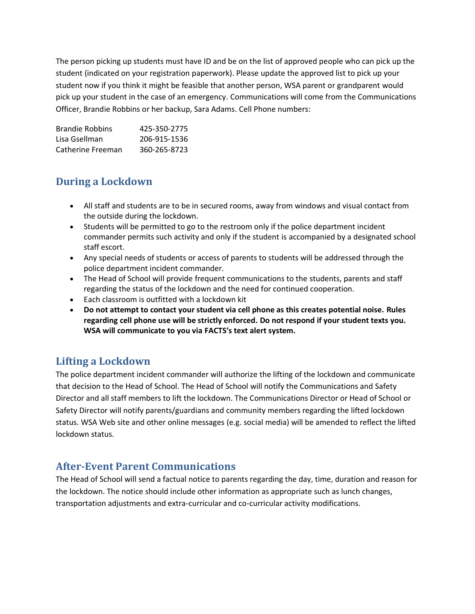The person picking up students must have ID and be on the list of approved people who can pick up the student (indicated on your registration paperwork). Please update the approved list to pick up your student now if you think it might be feasible that another person, WSA parent or grandparent would pick up your student in the case of an emergency. Communications will come from the Communications Officer, Brandie Robbins or her backup, Sara Adams. Cell Phone numbers:

Brandie Robbins 425-350-2775 Lisa Gsellman 206-915-1536 Catherine Freeman 360-265-8723

## **During a Lockdown**

- All staff and students are to be in secured rooms, away from windows and visual contact from the outside during the lockdown.
- Students will be permitted to go to the restroom only if the police department incident commander permits such activity and only if the student is accompanied by a designated school staff escort.
- Any special needs of students or access of parents to students will be addressed through the police department incident commander.
- The Head of School will provide frequent communications to the students, parents and staff regarding the status of the lockdown and the need for continued cooperation.
- Each classroom is outfitted with a lockdown kit
- **Do not attempt to contact your student via cell phone as this creates potential noise. Rules regarding cell phone use will be strictly enforced. Do not respond if your student texts you. WSA will communicate to you via FACTS's text alert system.**

## **Lifting a Lockdown**

The police department incident commander will authorize the lifting of the lockdown and communicate that decision to the Head of School. The Head of School will notify the Communications and Safety Director and all staff members to lift the lockdown. The Communications Director or Head of School or Safety Director will notify parents/guardians and community members regarding the lifted lockdown status. WSA Web site and other online messages (e.g. social media) will be amended to reflect the lifted lockdown status.

## **After-Event Parent Communications**

The Head of School will send a factual notice to parents regarding the day, time, duration and reason for the lockdown. The notice should include other information as appropriate such as lunch changes, transportation adjustments and extra-curricular and co-curricular activity modifications.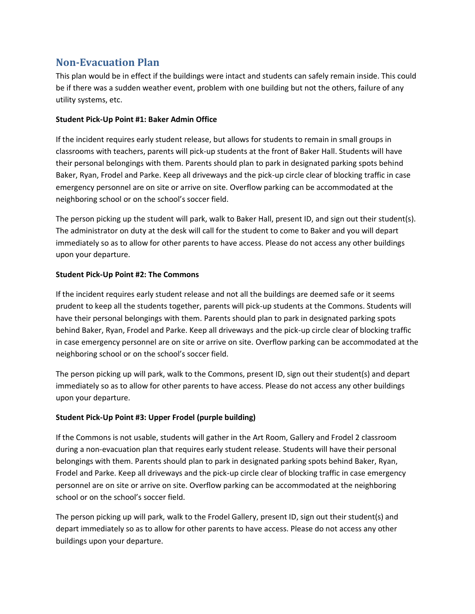## **Non-Evacuation Plan**

This plan would be in effect if the buildings were intact and students can safely remain inside. This could be if there was a sudden weather event, problem with one building but not the others, failure of any utility systems, etc.

#### **Student Pick-Up Point #1: Baker Admin Office**

If the incident requires early student release, but allows for students to remain in small groups in classrooms with teachers, parents will pick-up students at the front of Baker Hall. Students will have their personal belongings with them. Parents should plan to park in designated parking spots behind Baker, Ryan, Frodel and Parke. Keep all driveways and the pick-up circle clear of blocking traffic in case emergency personnel are on site or arrive on site. Overflow parking can be accommodated at the neighboring school or on the school's soccer field.

The person picking up the student will park, walk to Baker Hall, present ID, and sign out their student(s). The administrator on duty at the desk will call for the student to come to Baker and you will depart immediately so as to allow for other parents to have access. Please do not access any other buildings upon your departure.

#### **Student Pick-Up Point #2: The Commons**

If the incident requires early student release and not all the buildings are deemed safe or it seems prudent to keep all the students together, parents will pick-up students at the Commons. Students will have their personal belongings with them. Parents should plan to park in designated parking spots behind Baker, Ryan, Frodel and Parke. Keep all driveways and the pick-up circle clear of blocking traffic in case emergency personnel are on site or arrive on site. Overflow parking can be accommodated at the neighboring school or on the school's soccer field.

The person picking up will park, walk to the Commons, present ID, sign out their student(s) and depart immediately so as to allow for other parents to have access. Please do not access any other buildings upon your departure.

#### **Student Pick-Up Point #3: Upper Frodel (purple building)**

If the Commons is not usable, students will gather in the Art Room, Gallery and Frodel 2 classroom during a non-evacuation plan that requires early student release. Students will have their personal belongings with them. Parents should plan to park in designated parking spots behind Baker, Ryan, Frodel and Parke. Keep all driveways and the pick-up circle clear of blocking traffic in case emergency personnel are on site or arrive on site. Overflow parking can be accommodated at the neighboring school or on the school's soccer field.

The person picking up will park, walk to the Frodel Gallery, present ID, sign out their student(s) and depart immediately so as to allow for other parents to have access. Please do not access any other buildings upon your departure.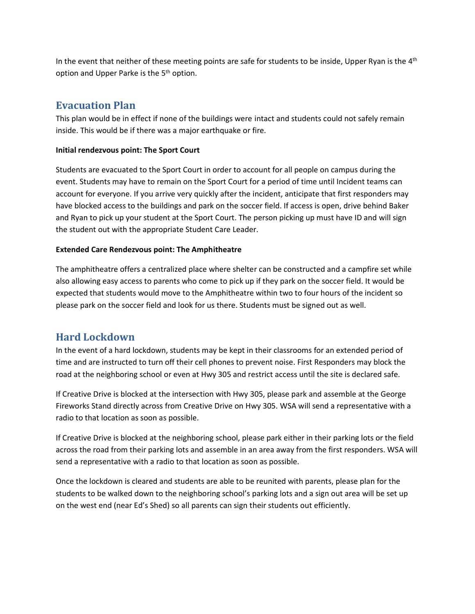In the event that neither of these meeting points are safe for students to be inside, Upper Ryan is the 4<sup>th</sup> option and Upper Parke is the 5<sup>th</sup> option.

## **Evacuation Plan**

This plan would be in effect if none of the buildings were intact and students could not safely remain inside. This would be if there was a major earthquake or fire.

#### **Initial rendezvous point: The Sport Court**

Students are evacuated to the Sport Court in order to account for all people on campus during the event. Students may have to remain on the Sport Court for a period of time until Incident teams can account for everyone. If you arrive very quickly after the incident, anticipate that first responders may have blocked access to the buildings and park on the soccer field. If access is open, drive behind Baker and Ryan to pick up your student at the Sport Court. The person picking up must have ID and will sign the student out with the appropriate Student Care Leader.

#### **Extended Care Rendezvous point: The Amphitheatre**

The amphitheatre offers a centralized place where shelter can be constructed and a campfire set while also allowing easy access to parents who come to pick up if they park on the soccer field. It would be expected that students would move to the Amphitheatre within two to four hours of the incident so please park on the soccer field and look for us there. Students must be signed out as well.

## **Hard Lockdown**

In the event of a hard lockdown, students may be kept in their classrooms for an extended period of time and are instructed to turn off their cell phones to prevent noise. First Responders may block the road at the neighboring school or even at Hwy 305 and restrict access until the site is declared safe.

If Creative Drive is blocked at the intersection with Hwy 305, please park and assemble at the George Fireworks Stand directly across from Creative Drive on Hwy 305. WSA will send a representative with a radio to that location as soon as possible.

If Creative Drive is blocked at the neighboring school, please park either in their parking lots or the field across the road from their parking lots and assemble in an area away from the first responders. WSA will send a representative with a radio to that location as soon as possible.

Once the lockdown is cleared and students are able to be reunited with parents, please plan for the students to be walked down to the neighboring school's parking lots and a sign out area will be set up on the west end (near Ed's Shed) so all parents can sign their students out efficiently.